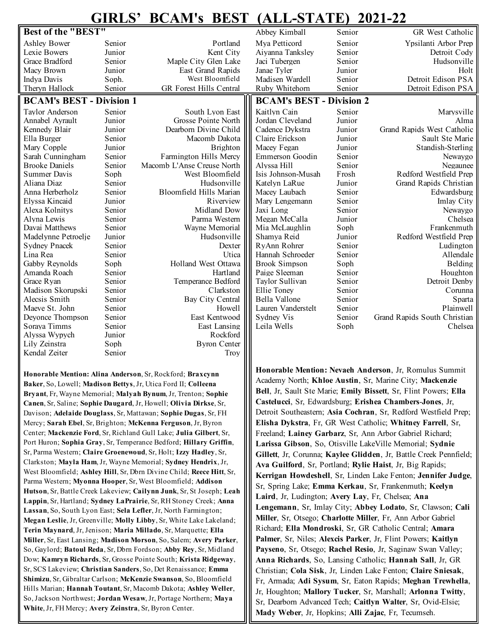## **GIRLS' BCAM's BEST (ALL-STATE) 2021-22**

| Best of the "BEST"              |        |                                | Abbey Kimball                   | Senior | GR West Catholic             |
|---------------------------------|--------|--------------------------------|---------------------------------|--------|------------------------------|
| <b>Ashley Bower</b>             | Senior | Portland                       | Mya Petticord                   | Senior | Ypsilanti Arbor Prep         |
| Lexie Bowers                    | Junior | Kent City                      | Aiyanna Tanksley                | Senior | Detroit Cody                 |
| Grace Bradford                  | Senior | Maple City Glen Lake           | Jaci Tubergen                   | Senior | Hudsonville                  |
| Macy Brown                      | Junior | East Grand Rapids              | Janae Tyler                     | Junior | Holt                         |
| Indya Davis                     | Soph.  | West Bloomfield                | Madisen Wardell                 | Senior | Detroit Edison PSA           |
| Theryn Hallock                  | Senior | <b>GR Forest Hills Central</b> | Ruby Whitehorn                  | Senior | Detroit Edison PSA           |
| <b>BCAM's BEST - Division 1</b> |        |                                | <b>BCAM's BEST - Division 2</b> |        |                              |
| Taylor Anderson                 | Senior | South Lyon East                | Kaitlyn Cain                    | Senior | Marysville                   |
| Annabel Ayrault                 | Junior | Grosse Pointe North            | Jordan Cleveland                | Junior | Alma                         |
| Kennedy Blair                   | Junior | Dearborn Divine Child          | Cadence Dykstra                 | Junior | Grand Rapids West Catholic   |
| Ella Burger                     | Senior | Macomb Dakota                  | Claire Erickson                 | Junior | Sault Ste Marie              |
| Mary Copple                     | Junior | Brighton                       | Macey Fegan                     | Junior | Standish-Sterling            |
| Sarah Cunningham                | Senior | Farmington Hills Mercy         | Emmerson Goodin                 | Senior | Newaygo                      |
| <b>Brooke Daniels</b>           | Senior | Macomb L'Anse Creuse North     | Alyssa Hill                     | Senior | Negaunee                     |
| <b>Summer Davis</b>             | Soph   | West Bloomfield                | Isis Johnson-Musah              | Frosh  | Redford Westfield Prep       |
| Aliana Diaz                     | Senior | Hudsonville                    | Katelyn LaRue                   | Junior | Grand Rapids Christian       |
| Anna Herberholz                 | Senior | Bloomfield Hills Marian        | Macey Laubach                   | Senior | Edwardsburg                  |
| Elyssa Kincaid                  | Junior | Riverview                      | Mary Lengemann                  | Senior | Imlay City                   |
| Alexa Kolnitys                  | Senior | Midland Dow                    | Jaxi Long                       | Senior | Newaygo                      |
| Alyna Lewis                     | Senior | Parma Western                  | Megan McCalla                   | Junior | Chelsea                      |
| Davai Matthews                  | Senior | Wayne Memorial                 | Mia McLaughlin                  | Soph   | Frankenmuth                  |
| Madelynne Petroelje             | Junior | Hudsonville                    | Shamya Reid                     | Junior | Redford Westfield Prep       |
| <b>Sydney Pnacek</b>            | Senior | Dexter                         | RyAnn Rohrer                    | Senior | Ludington                    |
| Lina Rea                        | Senior | Utica                          | Hannah Schroeder                | Senior | Allendale                    |
| Gabby Reynolds                  | Soph   | Holland West Ottawa            | <b>Brook Simpson</b>            | Soph   | Belding                      |
| Amanda Roach                    | Senior | Hartland                       | Paige Sleeman                   | Senior | Houghton                     |
| Grace Ryan                      | Senior | Temperance Bedford             | Taylor Sullivan                 | Senior | Detroit Denby                |
| Madison Skorupski               | Senior | Clarkston                      | Ellie Toney                     | Senior | Corunna                      |
| Alecsis Smith                   | Senior | Bay City Central               | Bella Vallone                   | Senior | Sparta                       |
| Maeve St. John                  | Senior | Howell                         | Lauren Vanderstelt              | Senior | Plainwell                    |
| Deyonce Thompson                | Senior | East Kentwood                  | Sydney Vis                      | Senior | Grand Rapids South Christian |
| Soraya Timms                    | Senior | East Lansing                   | Leila Wells                     | Soph   | Chelsea                      |
| Alyssa Wypych                   | Junior | Rockford                       |                                 |        |                              |
| Lily Zeinstra                   | Soph   | <b>Byron Center</b>            |                                 |        |                              |
| Kendal Zeiter                   | Senior | Trov                           |                                 |        |                              |
|                                 |        |                                |                                 |        |                              |

**Honorable Mention: Alina Anderson**, Sr, Rockford; **Braxcynn Baker**, So, Lowell; **Madison Bettys**, Jr, Utica Ford II; **Colleena Bryant**, Fr, Wayne Memorial; **Malyah Bynum**, Jr, Trenton; **Sophie Canen**, Sr, Saline; **Sophie Daugard**, Jr, Howell; **Olivia Dirkse**, Sr, Davison; **Adelaide Douglass**, Sr, Mattawan; **Sophie Dugas**, Sr, FH Mercy; **Sarah Ebel**, Sr, Brighton; **McKenna Ferguson**, Jr, Byron Center; **Mackenzie Ford**, Sr, Richland Gull Lake; **Julia Gilbert**, Sr, Port Huron; **Sophia Gray**, Sr, Temperance Bedford; **Hillary Griffin**, Sr, Parma Western; **Claire Groenewoud**, Sr, Holt; **Izzy Hadley**, Sr, Clarkston; **Mayla Ham**, Jr, Wayne Memorial; **Sydney Hendrix**, Jr, West Bloomfield; **Ashley Hill**, Sr, Dbrn Divine Child; **Reece Hitt**, Sr, Parma Western; **Myonna Hooper**, Sr, West Bloomfield; **Addison Hutson**, Sr, Battle Creek Lakeview; **Cailynn Junk**, Sr, St Joseph; **Leah Lappin**, Sr, Hartland; **Sydney LaPrairie**, Sr, RH Stoney Creek; **Anna Lassan**, So, South Lyon East; **Sela Lefler**, Jr, North Farmington; **Megan Leslie**, Jr, Greenville; **Molly Libby**, Sr, White Lake Lakeland; **Terin Maynard**, Jr, Jenison; **Maria Millado**, Sr, Marquette; **Ella Miller**, Sr, East Lansing; **Madison Morson**, So, Salem; **Avery Parker**, So, Gaylord; **Batoul Reda**, Sr, Dbrn Fordson; **Abby Rey**, Sr, Midland Dow; **Kamryn Richards**, Sr, Grosse Pointe South; **Krista Ridgeway**, Sr, SCS Lakeview; **Christian Sanders**, So, Det Renaissance; **Emma Shimizu**, Sr, Gibraltar Carlson; **McKenzie Swanson**, So, Bloomfield Hills Marian; **Hannah Toutant**, Sr, Macomb Dakota; **Ashley Weller**, So, Jackson Northwest; **Jordan Wesaw**, Jr, Portage Northern; **Maya White**, Jr, FH Mercy; **Avery Zeinstra**, Sr, Byron Center.

**Honorable Mention: Nevaeh Anderson**, Jr, Romulus Summit Academy North; **Khloe Austin**, Sr, Marine City; **Mackenzie Bell**, Jr, Sault Ste Marie; **Emily Bissett**, Sr, Flint Powers; **Ella Castelucci**, Sr, Edwardsburg; **Erishea Chambers**-**Jones**, Jr, Detroit Southeastern; **Asia Cochran**, Sr, Redford Westfield Prep; **Elisha Dykstra**, Fr, GR West Catholic; **Whitney Farrell**, Sr, Freeland; **Lainey Garbarz**, Sr, Ann Arbor Gabriel Richard; **Larissa Gibson**, So, Otisville LakeVille Memorial; **Sydnie Gillett**, Jr, Corunna; **Kaylee Glidden**, Jr, Battle Creek Pennfield; **Ava Guilford**, Sr, Portland; **Rylie Haist**, Jr, Big Rapids; **Kerrigan Howdeshell**, Sr, Linden Lake Fenton; **Jennifer Judge**, Sr, Spring Lake; **Emma Kerkau**, Sr, Frankenmuth; **Keelyn Laird**, Jr, Ludington; **Avery Lay**, Fr, Chelsea; **Ana Lengemann**, Sr, Imlay City; **Abbey Lodato**, Sr, Clawson; **Cali Miller**, Sr, Otsego; **Charlotte Miller**, Fr, Ann Arbor Gabriel Richard; **Ella Mondroski**, Sr, GR Catholic Central; **Amara Palmer**, Sr, Niles; **Alexcis Parker**, Jr, Flint Powers; **Kaitlyn Payseno**, Sr, Otsego; **Rachel Resio**, Jr, Saginaw Swan Valley; **Anna Richards**, So, Lansing Catholic; **Hannah Sall**, Jr, GR Christian; **Cola Sisk**, Jr, Linden Lake Fenton; **Claire Sniesak**, Fr, Armada; **Adi Sysum**, Sr, Eaton Rapids; **Meghan Trewhella**, Jr, Houghton; **Mallory Tucker**, Sr, Marshall; **Arlonna Twitty**, Sr, Dearborn Advanced Tech; **Caitlyn Walter**, Sr, Ovid-Elsie; **Mady Weber**, Jr, Hopkins; **Alli Zajac**, Fr, Tecumseh.